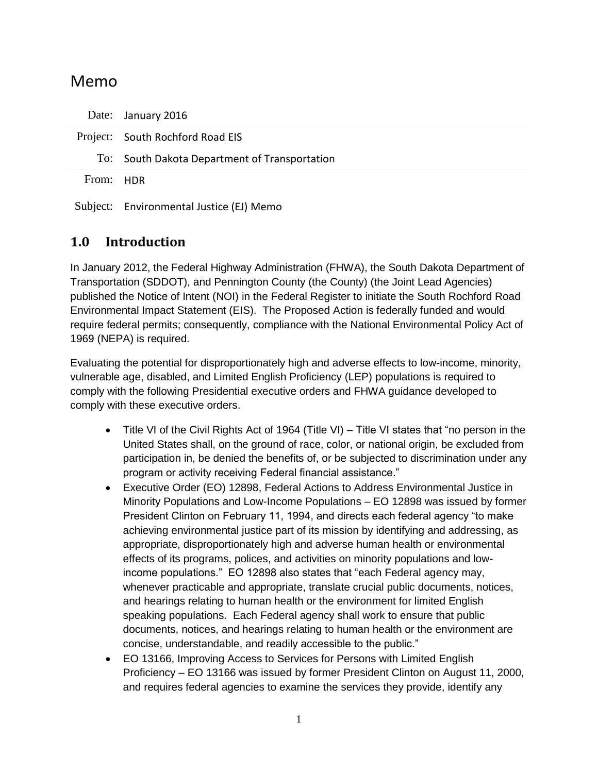### Memo

|           | Date: January 2016                            |
|-----------|-----------------------------------------------|
|           | Project: South Rochford Road EIS              |
|           | To: South Dakota Department of Transportation |
| From: HDR |                                               |
|           | Subject: Environmental Justice (EJ) Memo      |

#### **1.0 Introduction**

In January 2012, the Federal Highway Administration (FHWA), the South Dakota Department of Transportation (SDDOT), and Pennington County (the County) (the Joint Lead Agencies) published the Notice of Intent (NOI) in the Federal Register to initiate the South Rochford Road Environmental Impact Statement (EIS). The Proposed Action is federally funded and would require federal permits; consequently, compliance with the National Environmental Policy Act of 1969 (NEPA) is required.

Evaluating the potential for disproportionately high and adverse effects to low-income, minority, vulnerable age, disabled, and Limited English Proficiency (LEP) populations is required to comply with the following Presidential executive orders and FHWA guidance developed to comply with these executive orders.

- Title VI of the Civil Rights Act of 1964 (Title VI) Title VI states that "no person in the United States shall, on the ground of race, color, or national origin, be excluded from participation in, be denied the benefits of, or be subjected to discrimination under any program or activity receiving Federal financial assistance."
- Executive Order (EO) 12898, Federal Actions to Address Environmental Justice in Minority Populations and Low-Income Populations – EO 12898 was issued by former President Clinton on February 11, 1994, and directs each federal agency "to make achieving environmental justice part of its mission by identifying and addressing, as appropriate, disproportionately high and adverse human health or environmental effects of its programs, polices, and activities on minority populations and lowincome populations." EO 12898 also states that "each Federal agency may, whenever practicable and appropriate, translate crucial public documents, notices, and hearings relating to human health or the environment for limited English speaking populations. Each Federal agency shall work to ensure that public documents, notices, and hearings relating to human health or the environment are concise, understandable, and readily accessible to the public."
- EO 13166, Improving Access to Services for Persons with Limited English Proficiency – EO 13166 was issued by former President Clinton on August 11, 2000, and requires federal agencies to examine the services they provide, identify any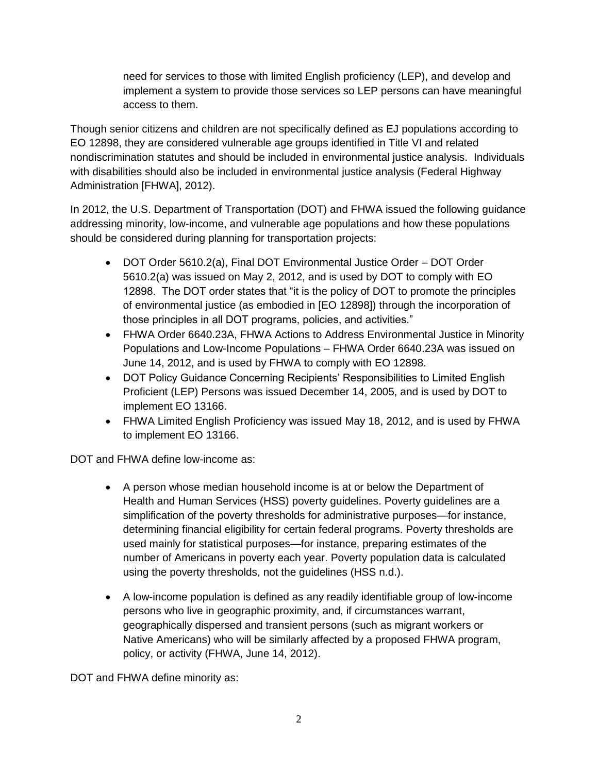need for services to those with limited English proficiency (LEP), and develop and implement a system to provide those services so LEP persons can have meaningful access to them.

Though senior citizens and children are not specifically defined as EJ populations according to EO 12898, they are considered vulnerable age groups identified in Title VI and related nondiscrimination statutes and should be included in environmental justice analysis. Individuals with disabilities should also be included in environmental justice analysis (Federal Highway Administration [FHWA], 2012).

In 2012, the U.S. Department of Transportation (DOT) and FHWA issued the following guidance addressing minority, low-income, and vulnerable age populations and how these populations should be considered during planning for transportation projects:

- DOT Order 5610.2(a), Final DOT Environmental Justice Order DOT Order 5610.2(a) was issued on May 2, 2012, and is used by DOT to comply with EO 12898. The DOT order states that "it is the policy of DOT to promote the principles of environmental justice (as embodied in [EO 12898]) through the incorporation of those principles in all DOT programs, policies, and activities."
- FHWA Order 6640.23A, FHWA Actions to Address Environmental Justice in Minority Populations and Low-Income Populations – FHWA Order 6640.23A was issued on June 14, 2012, and is used by FHWA to comply with EO 12898.
- DOT Policy Guidance Concerning Recipients' Responsibilities to Limited English Proficient (LEP) Persons was issued December 14, 2005, and is used by DOT to implement EO 13166.
- FHWA Limited English Proficiency was issued May 18, 2012, and is used by FHWA to implement EO 13166.

DOT and FHWA define low-income as:

- A person whose median household income is at or below the Department of Health and Human Services (HSS) poverty guidelines. Poverty guidelines are a simplification of the poverty thresholds for administrative purposes—for instance, determining financial eligibility for certain federal programs. Poverty thresholds are used mainly for statistical purposes—for instance, preparing estimates of the number of Americans in poverty each year. Poverty population data is calculated using the poverty thresholds, not the guidelines (HSS n.d.).
- A low-income population is defined as any readily identifiable group of low-income persons who live in geographic proximity, and, if circumstances warrant, geographically dispersed and transient persons (such as migrant workers or Native Americans) who will be similarly affected by a proposed FHWA program, policy, or activity (FHWA, June 14, 2012).

DOT and FHWA define minority as: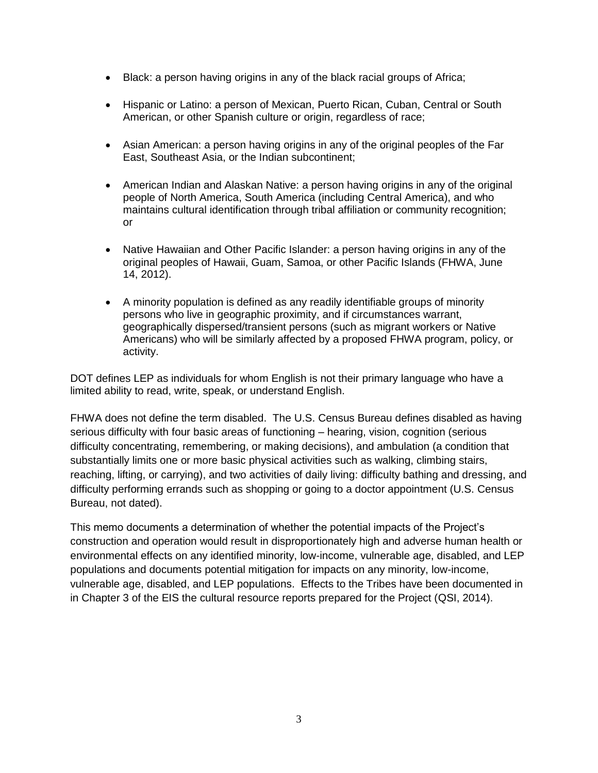- Black: a person having origins in any of the black racial groups of Africa;
- Hispanic or Latino: a person of Mexican, Puerto Rican, Cuban, Central or South American, or other Spanish culture or origin, regardless of race;
- Asian American: a person having origins in any of the original peoples of the Far East, Southeast Asia, or the Indian subcontinent;
- American Indian and Alaskan Native: a person having origins in any of the original people of North America, South America (including Central America), and who maintains cultural identification through tribal affiliation or community recognition; or
- Native Hawaiian and Other Pacific Islander: a person having origins in any of the original peoples of Hawaii, Guam, Samoa, or other Pacific Islands (FHWA, June 14, 2012).
- A minority population is defined as any readily identifiable groups of minority persons who live in geographic proximity, and if circumstances warrant, geographically dispersed/transient persons (such as migrant workers or Native Americans) who will be similarly affected by a proposed FHWA program, policy, or activity.

DOT defines LEP as individuals for whom English is not their primary language who have a limited ability to read, write, speak, or understand English.

FHWA does not define the term disabled. The U.S. Census Bureau defines disabled as having serious difficulty with four basic areas of functioning – hearing, vision, cognition (serious difficulty concentrating, remembering, or making decisions), and ambulation (a condition that substantially limits one or more basic physical activities such as walking, climbing stairs, reaching, lifting, or carrying), and two activities of daily living: difficulty bathing and dressing, and difficulty performing errands such as shopping or going to a doctor appointment (U.S. Census Bureau, not dated).

This memo documents a determination of whether the potential impacts of the Project's construction and operation would result in disproportionately high and adverse human health or environmental effects on any identified minority, low-income, vulnerable age, disabled, and LEP populations and documents potential mitigation for impacts on any minority, low-income, vulnerable age, disabled, and LEP populations. Effects to the Tribes have been documented in in Chapter 3 of the EIS the cultural resource reports prepared for the Project (QSI, 2014).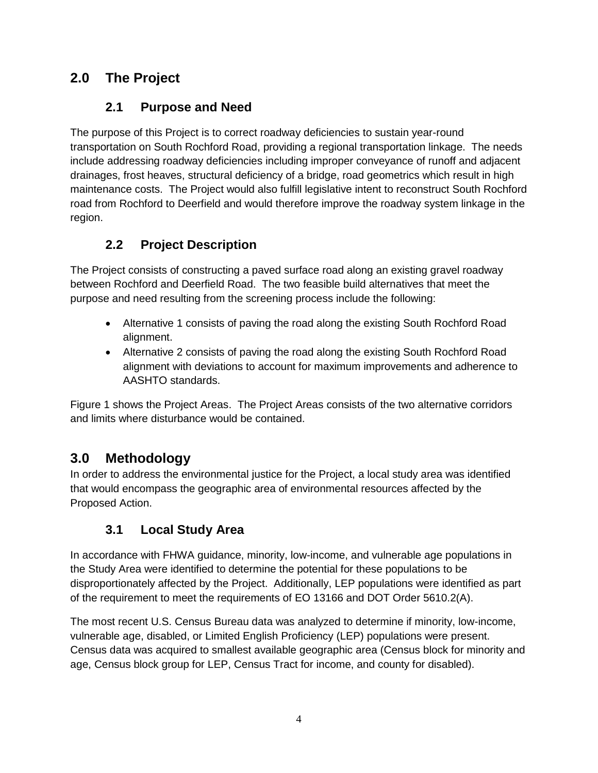### **2.0 The Project**

#### **2.1 Purpose and Need**

The purpose of this Project is to correct roadway deficiencies to sustain year-round transportation on South Rochford Road, providing a regional transportation linkage. The needs include addressing roadway deficiencies including improper conveyance of runoff and adjacent drainages, frost heaves, structural deficiency of a bridge, road geometrics which result in high maintenance costs. The Project would also fulfill legislative intent to reconstruct South Rochford road from Rochford to Deerfield and would therefore improve the roadway system linkage in the region.

### **2.2 Project Description**

The Project consists of constructing a paved surface road along an existing gravel roadway between Rochford and Deerfield Road. The two feasible build alternatives that meet the purpose and need resulting from the screening process include the following:

- Alternative 1 consists of paving the road along the existing South Rochford Road alignment.
- Alternative 2 consists of paving the road along the existing South Rochford Road alignment with deviations to account for maximum improvements and adherence to AASHTO standards.

Figure 1 shows the Project Areas. The Project Areas consists of the two alternative corridors and limits where disturbance would be contained.

# **3.0 Methodology**

In order to address the environmental justice for the Project, a local study area was identified that would encompass the geographic area of environmental resources affected by the Proposed Action.

### **3.1 Local Study Area**

In accordance with FHWA guidance, minority, low-income, and vulnerable age populations in the Study Area were identified to determine the potential for these populations to be disproportionately affected by the Project. Additionally, LEP populations were identified as part of the requirement to meet the requirements of EO 13166 and DOT Order 5610.2(A).

The most recent U.S. Census Bureau data was analyzed to determine if minority, low-income, vulnerable age, disabled, or Limited English Proficiency (LEP) populations were present. Census data was acquired to smallest available geographic area (Census block for minority and age, Census block group for LEP, Census Tract for income, and county for disabled).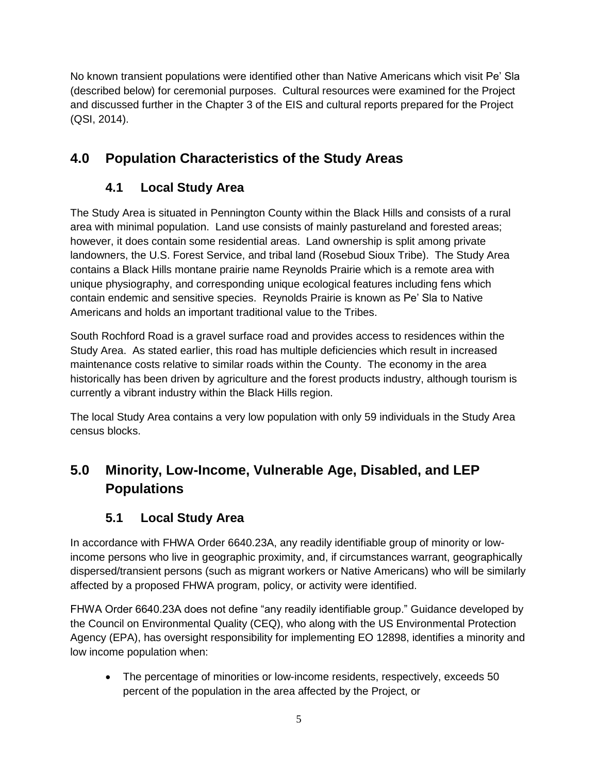No known transient populations were identified other than Native Americans which visit Pe' Sla (described below) for ceremonial purposes. Cultural resources were examined for the Project and discussed further in the Chapter 3 of the EIS and cultural reports prepared for the Project (QSI, 2014).

## **4.0 Population Characteristics of the Study Areas**

### **4.1 Local Study Area**

The Study Area is situated in Pennington County within the Black Hills and consists of a rural area with minimal population. Land use consists of mainly pastureland and forested areas; however, it does contain some residential areas. Land ownership is split among private landowners, the U.S. Forest Service, and tribal land (Rosebud Sioux Tribe). The Study Area contains a Black Hills montane prairie name Reynolds Prairie which is a remote area with unique physiography, and corresponding unique ecological features including fens which contain endemic and sensitive species. Reynolds Prairie is known as Pe' Sla to Native Americans and holds an important traditional value to the Tribes.

South Rochford Road is a gravel surface road and provides access to residences within the Study Area. As stated earlier, this road has multiple deficiencies which result in increased maintenance costs relative to similar roads within the County. The economy in the area historically has been driven by agriculture and the forest products industry, although tourism is currently a vibrant industry within the Black Hills region.

The local Study Area contains a very low population with only 59 individuals in the Study Area census blocks.

# **5.0 Minority, Low-Income, Vulnerable Age, Disabled, and LEP Populations**

### **5.1 Local Study Area**

In accordance with FHWA Order 6640.23A, any readily identifiable group of minority or lowincome persons who live in geographic proximity, and, if circumstances warrant, geographically dispersed/transient persons (such as migrant workers or Native Americans) who will be similarly affected by a proposed FHWA program, policy, or activity were identified.

FHWA Order 6640.23A does not define "any readily identifiable group." Guidance developed by the Council on Environmental Quality (CEQ), who along with the US Environmental Protection Agency (EPA), has oversight responsibility for implementing EO 12898, identifies a minority and low income population when:

 The percentage of minorities or low-income residents, respectively, exceeds 50 percent of the population in the area affected by the Project, or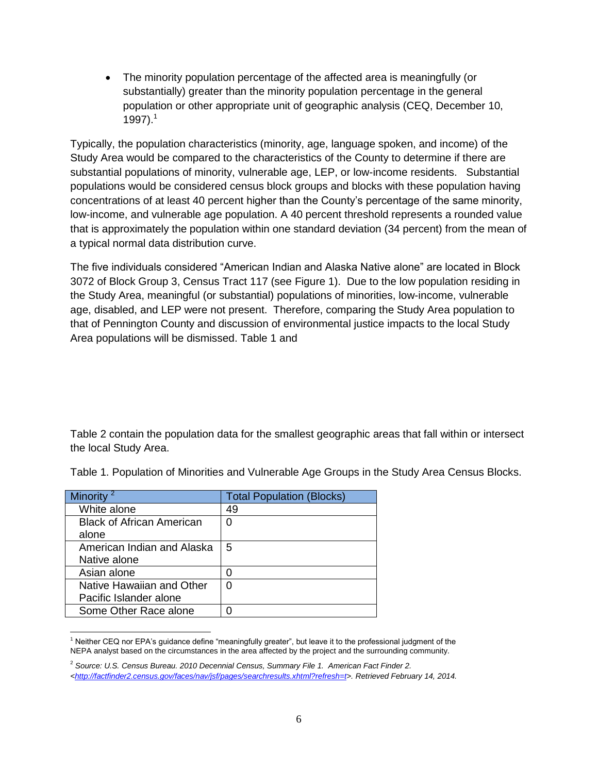The minority population percentage of the affected area is meaningfully (or substantially) greater than the minority population percentage in the general population or other appropriate unit of geographic analysis (CEQ, December 10, 1997). $1$ 

Typically, the population characteristics (minority, age, language spoken, and income) of the Study Area would be compared to the characteristics of the County to determine if there are substantial populations of minority, vulnerable age, LEP, or low-income residents. Substantial populations would be considered census block groups and blocks with these population having concentrations of at least 40 percent higher than the County's percentage of the same minority, low-income, and vulnerable age population. A 40 percent threshold represents a rounded value that is approximately the population within one standard deviation (34 percent) from the mean of a typical normal data distribution curve.

The five individuals considered "American Indian and Alaska Native alone" are located in Block 3072 of Block Group 3, Census Tract 117 (see [Figure 1\)](#page-7-0). Due to the low population residing in the Study Area, meaningful (or substantial) populations of minorities, low-income, vulnerable age, disabled, and LEP were not present. Therefore, comparing the Study Area population to that of Pennington County and discussion of environmental justice impacts to the local Study Area populations will be dismissed. [Table 1](#page-5-0) and

[Table 2](#page-6-0) contain the population data for the smallest geographic areas that fall within or intersect the local Study Area.

| Minority                         | <b>Total Population (Blocks)</b> |
|----------------------------------|----------------------------------|
| White alone                      | 49                               |
| <b>Black of African American</b> | 0                                |
| alone                            |                                  |
| American Indian and Alaska       | 5                                |
| Native alone                     |                                  |
| Asian alone                      | O                                |
| Native Hawaiian and Other        | 0                                |
| Pacific Islander alone           |                                  |
| Some Other Race alone            |                                  |

<span id="page-5-0"></span>Table 1. Population of Minorities and Vulnerable Age Groups in the Study Area Census Blocks.

 $\overline{a}$ <sup>1</sup> Neither CEQ nor EPA's guidance define "meaningfully greater", but leave it to the professional judgment of the NEPA analyst based on the circumstances in the area affected by the project and the surrounding community.

<sup>2</sup> *Source: U.S. Census Bureau. 2010 Decennial Census, Summary File 1. American Fact Finder 2. [<http://factfinder2.census.gov/faces/nav/jsf/pages/searchresults.xhtml?refresh=t>](http://factfinder2.census.gov/faces/nav/jsf/pages/searchresults.xhtml?refresh=t). Retrieved February 14, 2014.*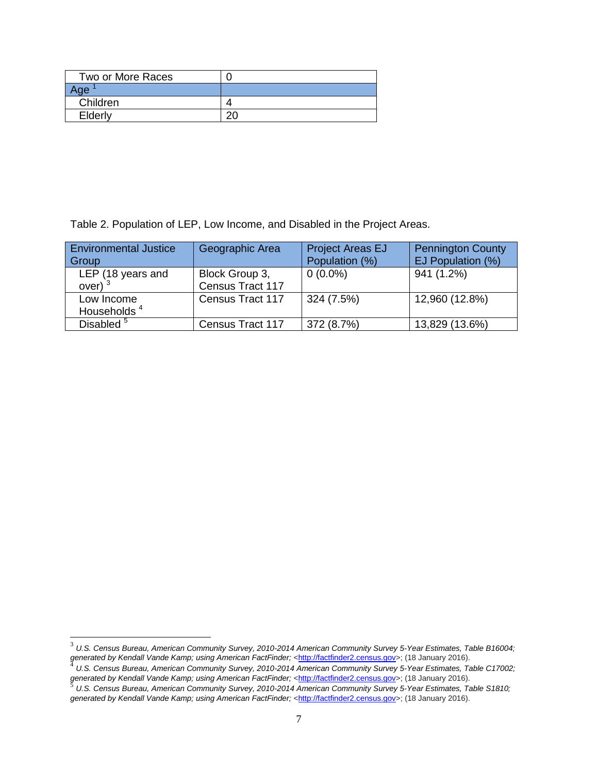<span id="page-6-0"></span>

| Two or More Races |  |
|-------------------|--|
| чe.               |  |
| Children          |  |
| Elderly           |  |

Table 2. Population of LEP, Low Income, and Disabled in the Project Areas.

| <b>Environmental Justice</b><br>Group | Geographic Area                    | <b>Project Areas EJ</b><br>Population (%) | <b>Pennington County</b><br>EJ Population (%) |
|---------------------------------------|------------------------------------|-------------------------------------------|-----------------------------------------------|
| LEP (18 years and<br>over)            | Block Group 3,<br>Census Tract 117 | $0(0.0\%)$                                | 941 (1.2%)                                    |
| Low Income<br>Households <sup>4</sup> | Census Tract 117                   | 324 (7.5%)                                | 12,960 (12.8%)                                |
| Disabled <sup>5</sup>                 | Census Tract 117                   | 372 (8.7%)                                | 13,829 (13.6%)                                |

 $\overline{a}$ 

<sup>3</sup> *U.S. Census Bureau, American Community Survey, 2010-2014 American Community Survey 5-Year Estimates, Table B16004;*  generated by Kendall Vande Kamp; using American FactFinder; <<u>http://factfinder2.census.gov</u>>; (18 January 2016).<br><sup>4</sup> J.L.S. Census Rurseu, American Community Survey, 2010,2014 American Community Survey E. Veer Fetimetes,

*U.S. Census Bureau, American Community Survey, 2010-2014 American Community Survey 5-Year Estimates, Table C17002;*  generated by Kendall Vande Kamp; using American FactFinder; <<u>http://factfinder2.census.gov</u>>; (18 January 2016).<br><sup>5</sup>. U.S. Census Burseu, American Cemmunity Survey, 2010,2014 American Cemmunity Survey E. Veer Fetimetes, T

*U.S. Census Bureau, American Community Survey, 2010-2014 American Community Survey 5-Year Estimates, Table S1810;*  generated by Kendall Vande Kamp; *using American FactFinder;* [<http://factfinder2.census.gov>](http://factfinder2.census.gov/); (18 January 2016).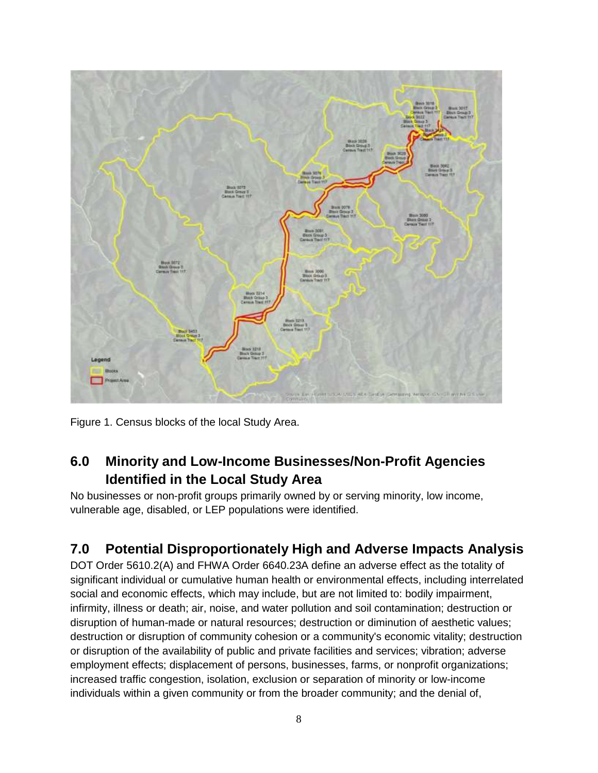

<span id="page-7-0"></span>Figure 1. Census blocks of the local Study Area.

### **6.0 Minority and Low-Income Businesses/Non-Profit Agencies Identified in the Local Study Area**

No businesses or non-profit groups primarily owned by or serving minority, low income, vulnerable age, disabled, or LEP populations were identified.

### **7.0 Potential Disproportionately High and Adverse Impacts Analysis**

DOT Order 5610.2(A) and FHWA Order 6640.23A define an adverse effect as the totality of significant individual or cumulative human health or environmental effects, including interrelated social and economic effects, which may include, but are not limited to: bodily impairment, infirmity, illness or death; air, noise, and water pollution and soil contamination; destruction or disruption of human-made or natural resources; destruction or diminution of aesthetic values; destruction or disruption of community cohesion or a community's economic vitality; destruction or disruption of the availability of public and private facilities and services; vibration; adverse employment effects; displacement of persons, businesses, farms, or nonprofit organizations; increased traffic congestion, isolation, exclusion or separation of minority or low-income individuals within a given community or from the broader community; and the denial of,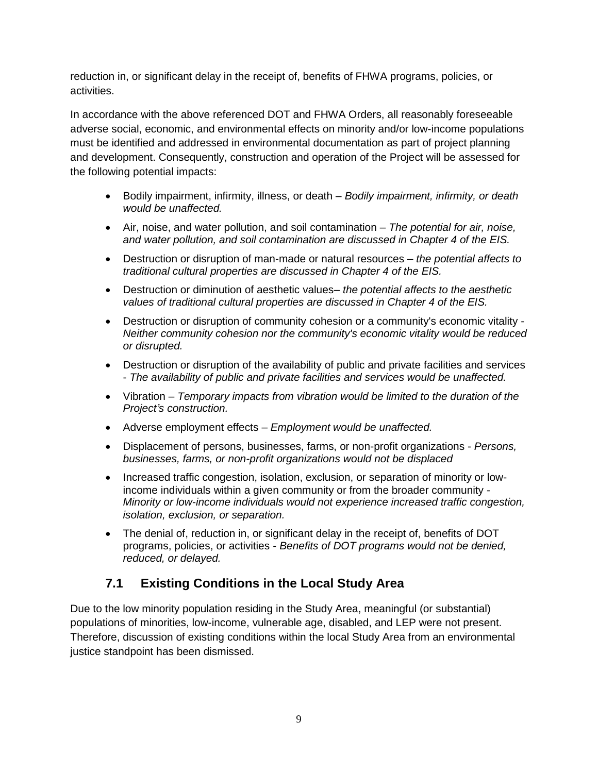reduction in, or significant delay in the receipt of, benefits of FHWA programs, policies, or activities.

In accordance with the above referenced DOT and FHWA Orders, all reasonably foreseeable adverse social, economic, and environmental effects on minority and/or low-income populations must be identified and addressed in environmental documentation as part of project planning and development. Consequently, construction and operation of the Project will be assessed for the following potential impacts:

- Bodily impairment, infirmity, illness, or death *Bodily impairment, infirmity, or death would be unaffected.*
- Air, noise, and water pollution, and soil contamination *The potential for air, noise, and water pollution, and soil contamination are discussed in Chapter 4 of the EIS.*
- Destruction or disruption of man-made or natural resources *the potential affects to traditional cultural properties are discussed in Chapter 4 of the EIS.*
- Destruction or diminution of aesthetic values– *the potential affects to the aesthetic values of traditional cultural properties are discussed in Chapter 4 of the EIS.*
- Destruction or disruption of community cohesion or a community's economic vitality *Neither community cohesion nor the community's economic vitality would be reduced or disrupted.*
- Destruction or disruption of the availability of public and private facilities and services - *The availability of public and private facilities and services would be unaffected.*
- Vibration *Temporary impacts from vibration would be limited to the duration of the Project's construction.*
- Adverse employment effects *Employment would be unaffected.*
- Displacement of persons, businesses, farms, or non-profit organizations *Persons, businesses, farms, or non-profit organizations would not be displaced*
- Increased traffic congestion, isolation, exclusion, or separation of minority or lowincome individuals within a given community or from the broader community - *Minority or low-income individuals would not experience increased traffic congestion, isolation, exclusion, or separation.*
- The denial of, reduction in, or significant delay in the receipt of, benefits of DOT programs, policies, or activities - *Benefits of DOT programs would not be denied, reduced, or delayed.*

#### **7.1 Existing Conditions in the Local Study Area**

Due to the low minority population residing in the Study Area, meaningful (or substantial) populations of minorities, low-income, vulnerable age, disabled, and LEP were not present. Therefore, discussion of existing conditions within the local Study Area from an environmental justice standpoint has been dismissed.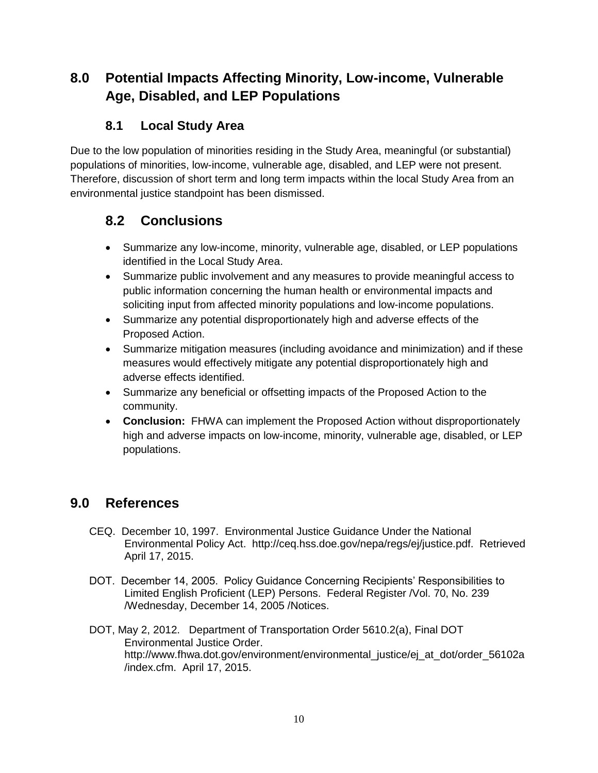### **8.0 Potential Impacts Affecting Minority, Low-income, Vulnerable Age, Disabled, and LEP Populations**

#### **8.1 Local Study Area**

Due to the low population of minorities residing in the Study Area, meaningful (or substantial) populations of minorities, low-income, vulnerable age, disabled, and LEP were not present. Therefore, discussion of short term and long term impacts within the local Study Area from an environmental justice standpoint has been dismissed.

### **8.2 Conclusions**

- Summarize any low-income, minority, vulnerable age, disabled, or LEP populations identified in the Local Study Area.
- Summarize public involvement and any measures to provide meaningful access to public information concerning the human health or environmental impacts and soliciting input from affected minority populations and low-income populations.
- Summarize any potential disproportionately high and adverse effects of the Proposed Action.
- Summarize mitigation measures (including avoidance and minimization) and if these measures would effectively mitigate any potential disproportionately high and adverse effects identified.
- Summarize any beneficial or offsetting impacts of the Proposed Action to the community.
- **Conclusion:** FHWA can implement the Proposed Action without disproportionately high and adverse impacts on low-income, minority, vulnerable age, disabled, or LEP populations.

### **9.0 References**

- CEQ. December 10, 1997. Environmental Justice Guidance Under the National Environmental Policy Act. http://ceq.hss.doe.gov/nepa/regs/ej/justice.pdf. Retrieved April 17, 2015.
- DOT. December 14, 2005. Policy Guidance Concerning Recipients' Responsibilities to Limited English Proficient (LEP) Persons. Federal Register /Vol. 70, No. 239 /Wednesday, December 14, 2005 /Notices.
- DOT, May 2, 2012. Department of Transportation Order 5610.2(a), Final DOT Environmental Justice Order. http://www.fhwa.dot.gov/environment/environmental\_justice/ej\_at\_dot/order\_56102a /index.cfm. April 17, 2015.